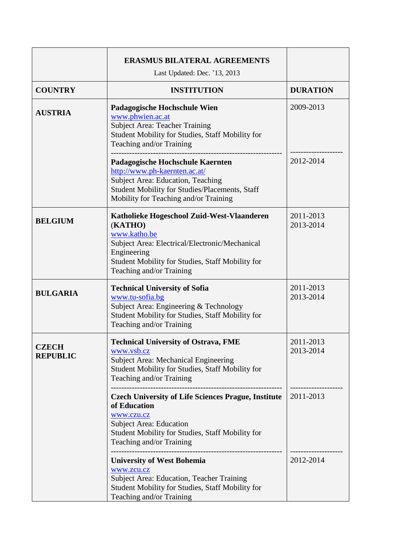|                                 | <b>ERASMUS BILATERAL AGREEMENTS</b>                                                                                                                                                                                    |                        |
|---------------------------------|------------------------------------------------------------------------------------------------------------------------------------------------------------------------------------------------------------------------|------------------------|
|                                 | Last Updated: Dec. '13, 2013                                                                                                                                                                                           |                        |
| <b>COUNTRY</b>                  | <b>INSTITUTION</b>                                                                                                                                                                                                     | <b>DURATION</b>        |
| <b>AUSTRIA</b>                  | Padagogische Hochschule Wien<br>www.phwien.ac.at<br><b>Subject Area: Teacher Training</b><br>Student Mobility for Studies, Staff Mobility for<br>Teaching and/or Training                                              | 2009-2013              |
|                                 | Padagogische Hochschule Kaernten<br>http://www.ph-kaernten.ac.at/<br>Subject Area: Education, Teaching<br>Student Mobility for Studies/Placements, Staff<br>Mobility for Teaching and/or Training                      | 2012-2014              |
| <b>BELGIUM</b>                  | Katholieke Hogeschool Zuid-West-Vlaanderen<br>(KATHO)<br>www.katho.be<br>Subject Area: Electrical/Electronic/Mechanical<br>Engineering<br>Student Mobility for Studies, Staff Mobility for<br>Teaching and/or Training | 2011-2013<br>2013-2014 |
| <b>BULGARIA</b>                 | <b>Technical University of Sofia</b><br>www.tu-sofia.bg<br>Subject Area: Engineering & Technology<br>Student Mobility for Studies, Staff Mobility for<br>Teaching and/or Training                                      | 2011-2013<br>2013-2014 |
| <b>CZECH</b><br><b>REPUBLIC</b> | <b>Technical University of Ostrava, FME</b><br>www.vsb.cz<br><b>Subject Area: Mechanical Engineering</b><br>Student Mobility for Studies, Staff Mobility for<br>Teaching and/or Training                               | 2011-2013<br>2013-2014 |
|                                 | <b>Czech University of Life Sciences Prague, Institute</b><br>of Education<br>www.czu.cz<br><b>Subject Area: Education</b><br>Student Mobility for Studies, Staff Mobility for<br>Teaching and/or Training             | 2011-2013              |
|                                 | <b>University of West Bohemia</b><br>www.zcu.cz<br>Subject Area: Education, Teacher Training<br>Student Mobility for Studies, Staff Mobility for<br>Teaching and/or Training                                           | 2012-2014              |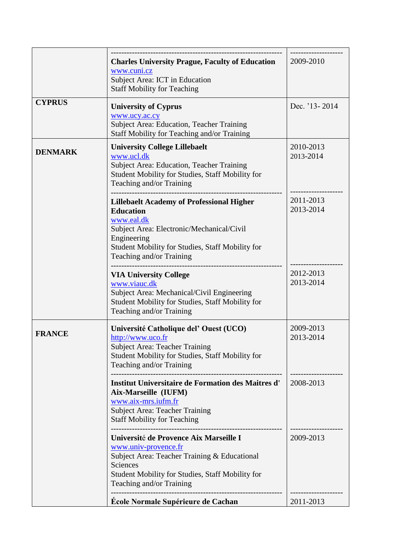|                | <b>Charles University Prague, Faculty of Education</b><br>www.cuni.cz<br>Subject Area: ICT in Education<br><b>Staff Mobility for Teaching</b>                                                                                  | 2009-2010              |
|----------------|--------------------------------------------------------------------------------------------------------------------------------------------------------------------------------------------------------------------------------|------------------------|
| <b>CYPRUS</b>  | <b>University of Cyprus</b><br>www.ucy.ac.cy<br>Subject Area: Education, Teacher Training<br>Staff Mobility for Teaching and/or Training                                                                                       | Dec. '13-2014          |
| <b>DENMARK</b> | <b>University College Lillebaelt</b><br>www.ucl.dk<br>Subject Area: Education, Teacher Training<br>Student Mobility for Studies, Staff Mobility for<br>Teaching and/or Training                                                | 2010-2013<br>2013-2014 |
|                | <b>Lillebaelt Academy of Professional Higher</b><br><b>Education</b><br>www.eal.dk<br>Subject Area: Electronic/Mechanical/Civil<br>Engineering<br>Student Mobility for Studies, Staff Mobility for<br>Teaching and/or Training | 2011-2013<br>2013-2014 |
|                | <b>VIA University College</b><br>www.viauc.dk<br>Subject Area: Mechanical/Civil Engineering<br>Student Mobility for Studies, Staff Mobility for<br>Teaching and/or Training                                                    | 2012-2013<br>2013-2014 |
| <b>FRANCE</b>  | Université Catholique del' Ouest (UCO)<br>http://www.uco.fr<br><b>Subject Area: Teacher Training</b><br>Student Mobility for Studies, Staff Mobility for<br>Teaching and/or Training                                           | 2009-2013<br>2013-2014 |
|                | <b>Institut Universitaire de Formation des Maitres d'</b><br>Aix-Marseille (IUFM)<br>www.aix-mrs.iufm.fr<br><b>Subject Area: Teacher Training</b><br><b>Staff Mobility for Teaching</b>                                        | 2008-2013              |
|                | Université de Provence Aix Marseille I<br>www.univ-provence.fr<br>Subject Area: Teacher Training & Educational<br>Sciences<br>Student Mobility for Studies, Staff Mobility for<br>Teaching and/or Training                     | 2009-2013              |
|                | École Normale Supérieure de Cachan                                                                                                                                                                                             | 2011-2013              |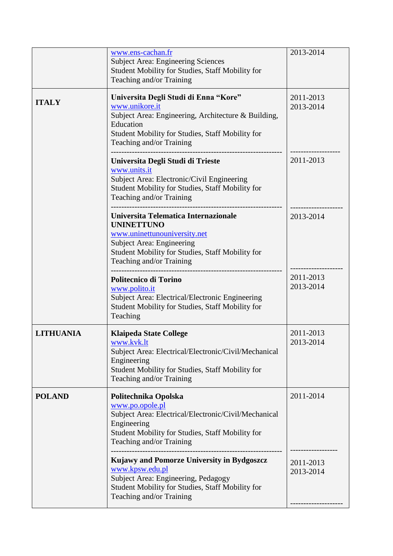|                  | www.ens-cachan.fr<br><b>Subject Area: Engineering Sciences</b><br>Student Mobility for Studies, Staff Mobility for<br>Teaching and/or Training                                                                | 2013-2014              |
|------------------|---------------------------------------------------------------------------------------------------------------------------------------------------------------------------------------------------------------|------------------------|
| <b>ITALY</b>     | Universita Degli Studi di Enna "Kore"<br>www.unikore.it<br>Subject Area: Engineering, Architecture & Building,<br>Education<br>Student Mobility for Studies, Staff Mobility for<br>Teaching and/or Training   | 2011-2013<br>2013-2014 |
|                  | Universita Degli Studi di Trieste<br>www.units.it<br>Subject Area: Electronic/Civil Engineering<br>Student Mobility for Studies, Staff Mobility for<br>Teaching and/or Training                               | 2011-2013              |
|                  | Universita Telematica Internazionale<br><b>UNINETTUNO</b><br>www.uninettunouniversity.net<br><b>Subject Area: Engineering</b><br>Student Mobility for Studies, Staff Mobility for<br>Teaching and/or Training | 2013-2014              |
|                  | Politecnico di Torino<br>www.polito.it<br>Subject Area: Electrical/Electronic Engineering<br>Student Mobility for Studies, Staff Mobility for<br>Teaching                                                     | 2011-2013<br>2013-2014 |
| <b>LITHUANIA</b> | <b>Klaipeda State College</b><br>www.kvk.lt<br>Subject Area: Electrical/Electronic/Civil/Mechanical<br>Engineering<br>Student Mobility for Studies, Staff Mobility for<br>Teaching and/or Training            | 2011-2013<br>2013-2014 |
| <b>POLAND</b>    | Politechnika Opolska<br>www.po.opole.pl<br>Subject Area: Electrical/Electronic/Civil/Mechanical<br>Engineering<br>Student Mobility for Studies, Staff Mobility for<br>Teaching and/or Training                | 2011-2014              |
|                  | Kujawy and Pomorze University in Bydgoszcz<br>www.kpsw.edu.pl<br>Subject Area: Engineering, Pedagogy<br>Student Mobility for Studies, Staff Mobility for<br>Teaching and/or Training                          | 2011-2013<br>2013-2014 |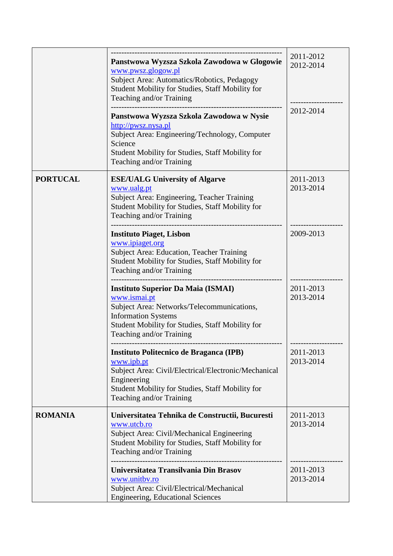|                 | Panstwowa Wyzsza Szkola Zawodowa w Glogowie<br>www.pwsz.glogow.pl<br>Subject Area: Automatics/Robotics, Pedagogy<br>Student Mobility for Studies, Staff Mobility for<br>Teaching and/or Training                      | 2011-2012<br>2012-2014 |
|-----------------|-----------------------------------------------------------------------------------------------------------------------------------------------------------------------------------------------------------------------|------------------------|
|                 | Panstwowa Wyzsza Szkola Zawodowa w Nysie<br>http://pwsz.nysa.pl<br>Subject Area: Engineering/Technology, Computer<br>Science<br>Student Mobility for Studies, Staff Mobility for<br>Teaching and/or Training          | 2012-2014              |
| <b>PORTUCAL</b> | <b>ESE/UALG University of Algarve</b><br>www.ualg.pt<br>Subject Area: Engineering, Teacher Training<br>Student Mobility for Studies, Staff Mobility for<br>Teaching and/or Training                                   | 2011-2013<br>2013-2014 |
|                 | <b>Instituto Piaget, Lisbon</b><br>www.ipiaget.org<br><b>Subject Area: Education, Teacher Training</b><br>Student Mobility for Studies, Staff Mobility for<br>Teaching and/or Training                                | 2009-2013              |
|                 | <b>Instituto Superior Da Maia (ISMAI)</b><br>www.ismai.pt<br>Subject Area: Networks/Telecommunications,<br><b>Information Systems</b><br>Student Mobility for Studies, Staff Mobility for<br>Teaching and/or Training | 2011-2013<br>2013-2014 |
|                 | Instituto Politecnico de Braganca (IPB)<br>www.ipb.pt<br>Subject Area: Civil/Electrical/Electronic/Mechanical<br>Engineering<br>Student Mobility for Studies, Staff Mobility for<br>Teaching and/or Training          | 2011-2013<br>2013-2014 |
| <b>ROMANIA</b>  | Universitatea Tehnika de Constructii, Bucuresti<br>www.utcb.ro<br>Subject Area: Civil/Mechanical Engineering<br>Student Mobility for Studies, Staff Mobility for<br>Teaching and/or Training                          | 2011-2013<br>2013-2014 |
|                 | Universitatea Transilvania Din Brasov<br>www.unitbv.ro<br>Subject Area: Civil/Electrical/Mechanical<br><b>Engineering, Educational Sciences</b>                                                                       | 2011-2013<br>2013-2014 |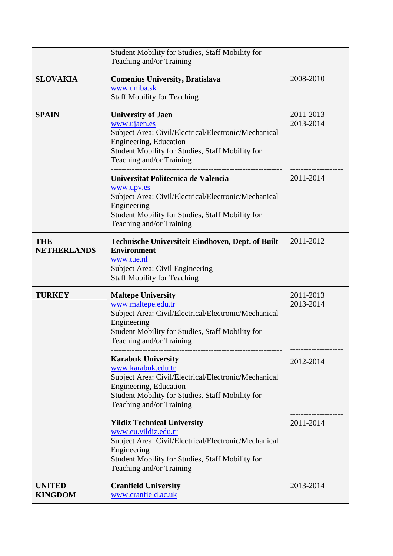|                                  | Student Mobility for Studies, Staff Mobility for<br>Teaching and/or Training                                                                                                                                      |                        |
|----------------------------------|-------------------------------------------------------------------------------------------------------------------------------------------------------------------------------------------------------------------|------------------------|
| <b>SLOVAKIA</b>                  | <b>Comenius University, Bratislava</b><br>www.uniba.sk<br><b>Staff Mobility for Teaching</b>                                                                                                                      | 2008-2010              |
| <b>SPAIN</b>                     | <b>University of Jaen</b><br>www.ujaen.es<br>Subject Area: Civil/Electrical/Electronic/Mechanical<br>Engineering, Education<br>Student Mobility for Studies, Staff Mobility for<br>Teaching and/or Training       | 2011-2013<br>2013-2014 |
|                                  | Universitat Politecnica de Valencia<br>www.upv.es<br>Subject Area: Civil/Electrical/Electronic/Mechanical<br>Engineering<br>Student Mobility for Studies, Staff Mobility for<br>Teaching and/or Training          | 2011-2014              |
| <b>THE</b><br><b>NETHERLANDS</b> | <b>Technische Universiteit Eindhoven, Dept. of Built</b><br><b>Environment</b><br>www.tue.nl<br>Subject Area: Civil Engineering<br><b>Staff Mobility for Teaching</b>                                             | 2011-2012              |
| <b>TURKEY</b>                    | <b>Maltepe University</b><br>www.maltepe.edu.tr<br>Subject Area: Civil/Electrical/Electronic/Mechanical<br>Engineering<br>Student Mobility for Studies, Staff Mobility for<br>Teaching and/or Training            | 2011-2013<br>2013-2014 |
|                                  | <b>Karabuk University</b><br>www.karabuk.edu.tr<br>Subject Area: Civil/Electrical/Electronic/Mechanical<br>Engineering, Education<br>Student Mobility for Studies, Staff Mobility for<br>Teaching and/or Training | 2012-2014              |
|                                  | <b>Yildiz Technical University</b><br>www.eu.yildiz.edu.tr<br>Subject Area: Civil/Electrical/Electronic/Mechanical<br>Engineering<br>Student Mobility for Studies, Staff Mobility for<br>Teaching and/or Training | 2011-2014              |
| <b>UNITED</b><br><b>KINGDOM</b>  | <b>Cranfield University</b><br>www.cranfield.ac.uk                                                                                                                                                                | 2013-2014              |